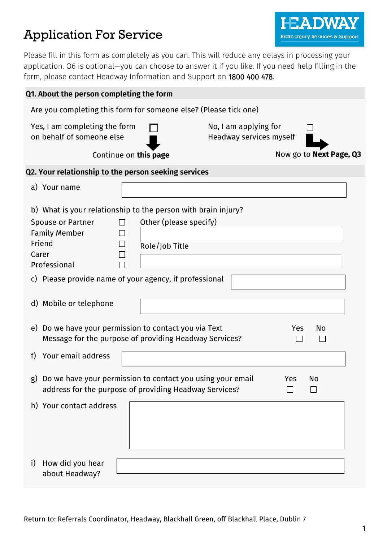# Application For Service

Please fill in this form as completely as you can. This will reduce any delays in processing your application. Q6 is optional—you can choose to answer it if you like. If you need help filling in the form, please contact Headway Information and Support on 1800 400 478.

I JV

**Brain Injury Services & Support** 

| Q1. About the person completing the form                                                                                                                                                        |  |
|-------------------------------------------------------------------------------------------------------------------------------------------------------------------------------------------------|--|
| Are you completing this form for someone else? (Please tick one)                                                                                                                                |  |
| Yes, I am completing the form<br>No, I am applying for<br>on behalf of someone else<br>Headway services myself                                                                                  |  |
| Now go to Next Page, Q3<br>Continue on this page                                                                                                                                                |  |
| Q2. Your relationship to the person seeking services                                                                                                                                            |  |
| a) Your name                                                                                                                                                                                    |  |
| b) What is your relationship to the person with brain injury?                                                                                                                                   |  |
| Other (please specify)<br><b>Spouse or Partner</b><br>П<br><b>Family Member</b><br>$\blacksquare$<br>Friend<br>$\Box$<br>Role/Job Title<br>Carer<br>$\mathcal{L}_{\mathcal{A}}$<br>Professional |  |
| c) Please provide name of your agency, if professional<br>d) Mobile or telephone                                                                                                                |  |
| Do we have your permission to contact you via Text<br>e)<br>Yes<br>No<br>Message for the purpose of providing Headway Services?<br>$\mathcal{L}$                                                |  |
| Your email address<br>f)                                                                                                                                                                        |  |
| Do we have your permission to contact you using your email<br>Yes<br>No<br>$\mathbf{g}$<br>address for the purpose of providing Headway Services?<br>$\Box$<br>$\mathcal{L}$                    |  |
| h) Your contact address                                                                                                                                                                         |  |
| i)<br>How did you hear<br>about Headway?                                                                                                                                                        |  |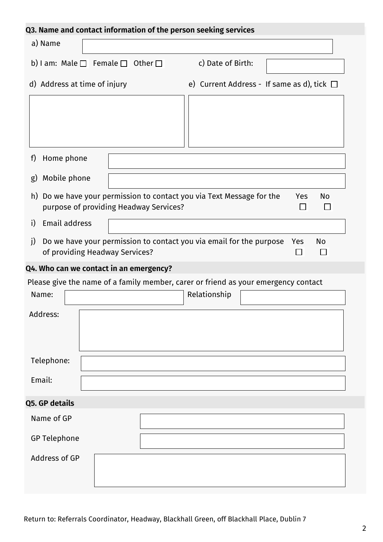|                              | Q3. Name and contact information of the person seeking services                                              |                                                 |                  |
|------------------------------|--------------------------------------------------------------------------------------------------------------|-------------------------------------------------|------------------|
| a) Name                      |                                                                                                              |                                                 |                  |
|                              | b) I am: Male $\Box$ Female $\Box$ Other $\Box$                                                              | c) Date of Birth:                               |                  |
| d) Address at time of injury |                                                                                                              | e) Current Address - If same as d), tick $\Box$ |                  |
|                              |                                                                                                              |                                                 |                  |
| f)<br>Home phone             |                                                                                                              |                                                 |                  |
| Mobile phone<br>g)           |                                                                                                              |                                                 |                  |
| h)                           | Do we have your permission to contact you via Text Message for the<br>purpose of providing Headway Services? |                                                 | Yes<br>No        |
| Email address<br>i)          |                                                                                                              |                                                 |                  |
| j)                           | Do we have your permission to contact you via email for the purpose<br>of providing Headway Services?        |                                                 | <b>No</b><br>Yes |
|                              | Q4. Who can we contact in an emergency?                                                                      |                                                 |                  |
|                              | Please give the name of a family member, carer or friend as your emergency contact                           |                                                 |                  |
| Name:                        |                                                                                                              | Relationship                                    |                  |
| Address:                     |                                                                                                              |                                                 |                  |
| Telephone:                   |                                                                                                              |                                                 |                  |
| Email:                       |                                                                                                              |                                                 |                  |
| Q5. GP details               |                                                                                                              |                                                 |                  |
| Name of GP                   |                                                                                                              |                                                 |                  |
| <b>GP Telephone</b>          |                                                                                                              |                                                 |                  |
| Address of GP                |                                                                                                              |                                                 |                  |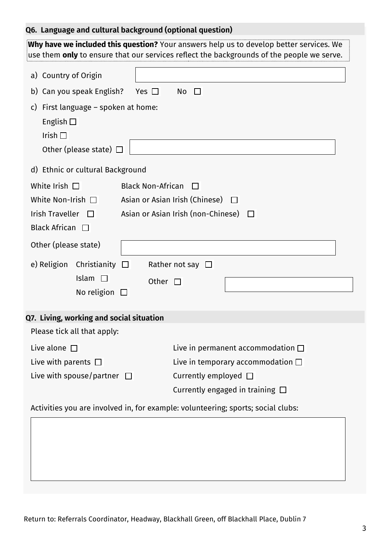# **Q6. Language and cultural background (optional question)**

| Why have we included this question? Your answers help us to develop better services. We                             |  |
|---------------------------------------------------------------------------------------------------------------------|--|
| $\frac{1}{2}$ use them <b>only</b> to ensure that our services reflect the backgrounds of the people we serve.      |  |
| a) Country of Origin                                                                                                |  |
| b) Can you speak English?<br>Yes $\Box$<br>No<br>$\Box$                                                             |  |
| First language – spoken at home:<br>C)<br>English $\square$<br>Irish $\square$<br>Other (please state) $\Box$       |  |
| d) Ethnic or cultural Background                                                                                    |  |
| White Irish $\Box$<br><b>Black Non-African</b><br>ΙI                                                                |  |
| White Non-Irish $\Box$<br>Asian or Asian Irish (Chinese) $\Box$                                                     |  |
| Asian or Asian Irish (non-Chinese)<br><b>Irish Traveller</b><br>$\Box$                                              |  |
| Black African $\Box$                                                                                                |  |
| Other (please state)                                                                                                |  |
| e) Religion<br>Christianity<br>Rather not say $\square$<br>$\Box$<br>Islam<br>Other<br>$\Box$<br>No religion $\Box$ |  |
| Q7. Living, working and social situation                                                                            |  |
| Please tick all that apply:                                                                                         |  |
| Live alone $\square$<br>Live in permanent accommodation $\square$                                                   |  |
| Live with parents $\Box$<br>Live in temporary accommodation $\square$                                               |  |
| Live with spouse/partner $\Box$<br>Currently employed $\Box$                                                        |  |
| Currently engaged in training $\Box$                                                                                |  |
| Activities you are involved in, for example: volunteering; sports; social clubs:                                    |  |
|                                                                                                                     |  |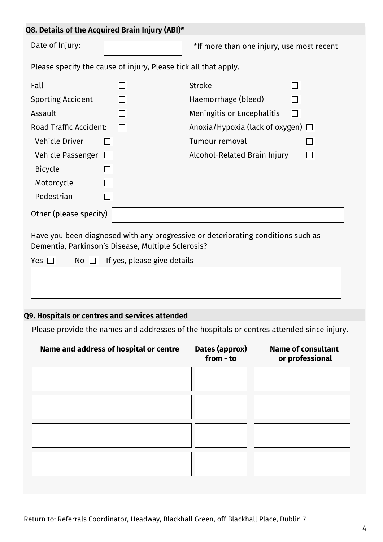|  |  | Q8. Details of the Acquired Brain Injury (ABI)* |  |  |  |
|--|--|-------------------------------------------------|--|--|--|
|--|--|-------------------------------------------------|--|--|--|

Date of Injury:

\*If more than one injury, use most recent

Please specify the cause of injury, Please tick all that apply.

| Fall                          |         |        | <b>Stroke</b>                          |        |  |
|-------------------------------|---------|--------|----------------------------------------|--------|--|
| <b>Sporting Accident</b>      |         | $\Box$ | Haemorrhage (bleed)                    |        |  |
| Assault                       |         |        | Meningitis or Encephalitis             | $\Box$ |  |
| <b>Road Traffic Accident:</b> |         |        | Anoxia/Hypoxia (lack of oxygen) $\Box$ |        |  |
| <b>Vehicle Driver</b>         |         |        | Tumour removal                         |        |  |
| Vehicle Passenger             | $\perp$ |        | Alcohol-Related Brain Injury           |        |  |
| <b>Bicycle</b>                | П       |        |                                        |        |  |
| Motorcycle                    |         |        |                                        |        |  |
| Pedestrian                    |         |        |                                        |        |  |
| Other (please specify)        |         |        |                                        |        |  |

Have you been diagnosed with any progressive or deteriorating conditions such as Dementia, Parkinson's Disease, Multiple Sclerosis?

| Yes $\Box$ | No $\Box$ If yes, please give details |
|------------|---------------------------------------|
|            |                                       |
|            |                                       |
|            |                                       |
|            |                                       |

# **Q9. Hospitals or centres and services attended**

Please provide the names and addresses of the hospitals or centres attended since injury.

| Name and address of hospital or centre | Dates (approx)<br>from - to | <b>Name of consultant</b><br>or professional |
|----------------------------------------|-----------------------------|----------------------------------------------|
|                                        |                             |                                              |
|                                        |                             |                                              |
|                                        |                             |                                              |
|                                        |                             |                                              |
|                                        |                             |                                              |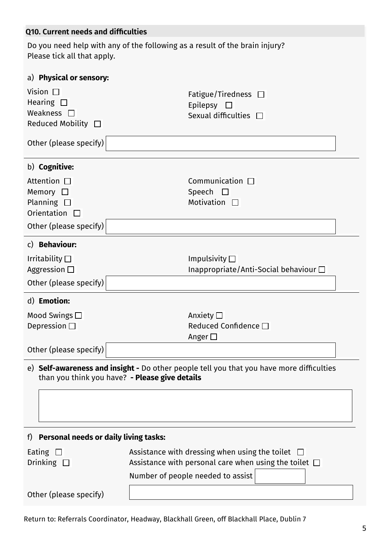| Q10. Current needs and difficulties                                                                                            |                                                                                                                                                          |
|--------------------------------------------------------------------------------------------------------------------------------|----------------------------------------------------------------------------------------------------------------------------------------------------------|
| Please tick all that apply.                                                                                                    | Do you need help with any of the following as a result of the brain injury?                                                                              |
| a) Physical or sensory:                                                                                                        |                                                                                                                                                          |
| Vision $\Box$<br>Hearing $\square$<br>Weakness $\square$<br>Reduced Mobility $\Box$<br>Other (please specify)                  | Fatigue/Tiredness $\Box$<br>Epilepsy $\Box$<br>Sexual difficulties $\Box$                                                                                |
|                                                                                                                                |                                                                                                                                                          |
| b) Cognitive:<br>Attention $\square$<br>Memory $\square$<br>Planning $\square$<br>Orientation $\Box$<br>Other (please specify) | Communication $\Box$<br>Speech $\square$<br>Motivation $\square$                                                                                         |
| c) Behaviour:                                                                                                                  |                                                                                                                                                          |
| Irritability $\square$<br>Aggression $\square$<br>Other (please specify)                                                       | Impulsivity $\square$<br>Inappropriate/Anti-Social behaviour $\Box$                                                                                      |
| d) Emotion:                                                                                                                    |                                                                                                                                                          |
| Mood Swings $\square$<br>Depression $\square$                                                                                  | Anxiety $\square$<br>Reduced Confidence □<br>Anger $\square$                                                                                             |
| Other (please specify)                                                                                                         |                                                                                                                                                          |
| than you think you have? - Please give details                                                                                 | e) Self-awareness and insight - Do other people tell you that you have more difficulties                                                                 |
| f) Personal needs or daily living tasks:                                                                                       |                                                                                                                                                          |
| Eating $\Box$<br>Drinking $\square$                                                                                            | Assistance with dressing when using the toilet $\Box$<br>Assistance with personal care when using the toilet $\Box$<br>Number of people needed to assist |
| Other (please specify)                                                                                                         |                                                                                                                                                          |

Return to: Referrals Coordinator, Headway, Blackhall Green, off Blackhall Place, Dublin 7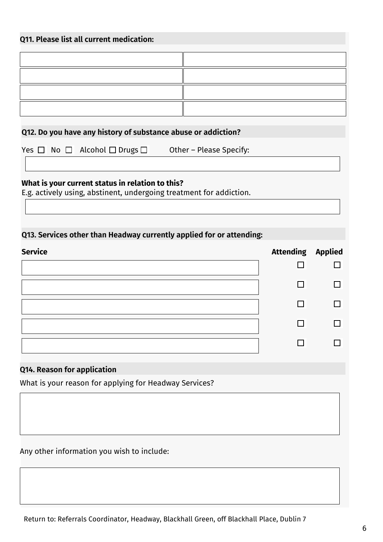# **Q11. Please list all current medication:**

# **Q12. Do you have any history of substance abuse or addiction?**

Yes  $\Box$  No  $\Box$  Alcohol  $\Box$  Drugs  $\Box$  Other – Please Specify:

#### **What is your current status in relation to this?**

E.g. actively using, abstinent, undergoing treatment for addiction.

# **Q13. Services other than Headway currently applied for or attending:**

| <b>Service</b> | <b>Attending Applied</b> |  |
|----------------|--------------------------|--|
|                |                          |  |
|                | П                        |  |
|                |                          |  |
|                | $\mathsf{I}$             |  |
|                |                          |  |

# **Q14. Reason for application**

What is your reason for applying for Headway Services?

Any other information you wish to include: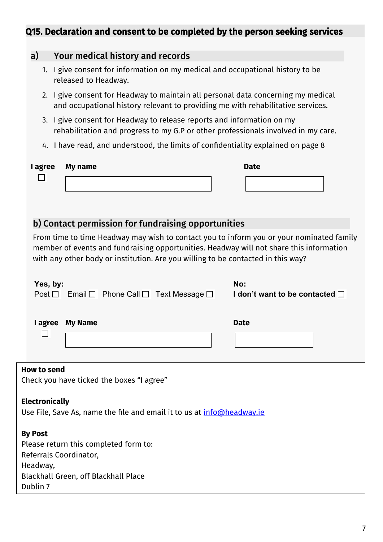# Q15. Declaration and consent to be completed by the person seeking services

# a) Your medical history and records 1. I give consent for information on my medical and occupational history to be released to Headway. 2. I give consent for Headway to maintain all personal data concerning my medical and occupational history relevant to providing me with rehabilitative services. 3. I give consent for Headway to release reports and information on my rehabilitation and progress to my G.P or other professionals involved in my care. 4. I have read, and understood, the limits of confidentiality explained on page 8 **I agree My name Date** П b) Contact permission for fundraising opportunities From time to time Headway may wish to contact you to inform you or your nominated family member of events and fundraising opportunities. Headway will not share this information with any other body or institution. Are you willing to be contacted in this way? **Yes, by: No:**  $Post \Box$  Email  $\Box$  Phone Call  $\Box$  Text Message  $\Box$ **I don't want to be contacted I agree My Name Date**  $\Box$ **How to send** Check you have ticked the boxes "I agree" **Electronically** Use File, Save As, name the file and email it to us at [info@headway.ie](mailto:info@headway.ie)

**By Post**

Please return this completed form to: Referrals Coordinator, Headway, Blackhall Green, off Blackhall Place Dublin 7